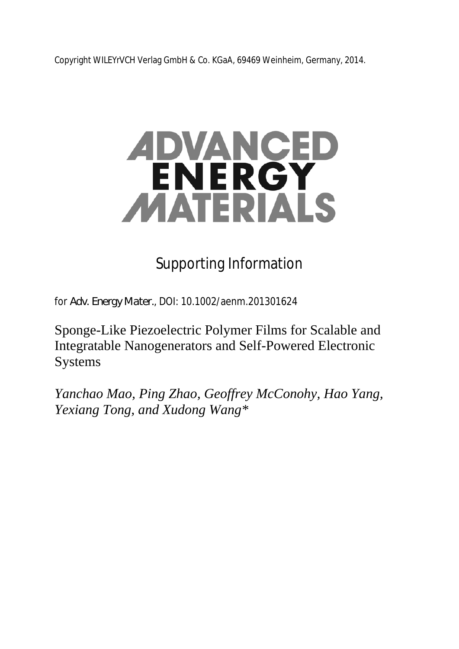Copyright WILEYrVCH Verlag GmbH & Co. KGaA, 69469 Weinheim, Germany, 2014.

# ADVANCED ENERGY MATERIALS

## Supporting Information

for *Adv. Energy Mater.*, DOI: 10.1002/aenm.201301624

Sponge-Like Piezoelectric Polymer Films for Scalable and Integratable Nanogenerators and Self-Powered Electronic Systems

*Yanchao Mao, Ping Zhao, Geoffrey McConohy, Hao Yang, Yexiang Tong, and Xudong Wang\**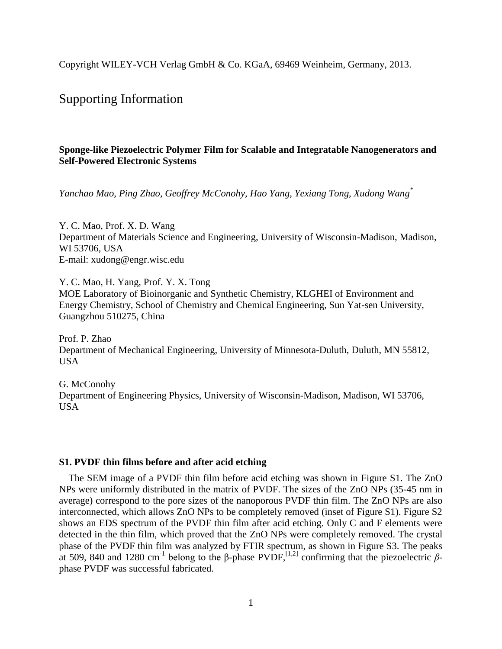Copyright WILEY-VCH Verlag GmbH & Co. KGaA, 69469 Weinheim, Germany, 2013.

### Supporting Information

#### **Sponge-like Piezoelectric Polymer Film for Scalable and Integratable Nanogenerators and Self-Powered Electronic Systems**

*Yanchao Mao, Ping Zhao, Geoffrey McConohy, Hao Yang, Yexiang Tong, Xudong Wang \**

Y. C. Mao, Prof. X. D. Wang Department of Materials Science and Engineering, University of Wisconsin-Madison, Madison, WI 53706, USA E-mail: xudong@engr.wisc.edu

Y. C. Mao, H. Yang, Prof. Y. X. Tong MOE Laboratory of Bioinorganic and Synthetic Chemistry, KLGHEI of Environment and Energy Chemistry, School of Chemistry and Chemical Engineering, Sun Yat-sen University, Guangzhou 510275, China

Prof. P. Zhao Department of Mechanical Engineering, University of Minnesota-Duluth, Duluth, MN 55812, USA

G. McConohy Department of Engineering Physics, University of Wisconsin-Madison, Madison, WI 53706, USA

#### **S1. PVDF thin films before and after acid etching**

The SEM image of a PVDF thin film before acid etching was shown in Figure S1. The ZnO NPs were uniformly distributed in the matrix of PVDF. The sizes of the ZnO NPs (35-45 nm in average) correspond to the pore sizes of the nanoporous PVDF thin film. The ZnO NPs are also interconnected, which allows ZnO NPs to be completely removed (inset of Figure S1). Figure S2 shows an EDS spectrum of the PVDF thin film after acid etching. Only C and F elements were detected in the thin film, which proved that the ZnO NPs were completely removed. The crystal phase of the PVDF thin film was analyzed by FTIR spectrum, as shown in Figure S3. The peaks at 509, 840 and 1280 cm<sup>-1</sup> belong to the β-phase PVDF,<sup>[1,2]</sup> confirming that the piezoelectric βphase PVDF was successful fabricated.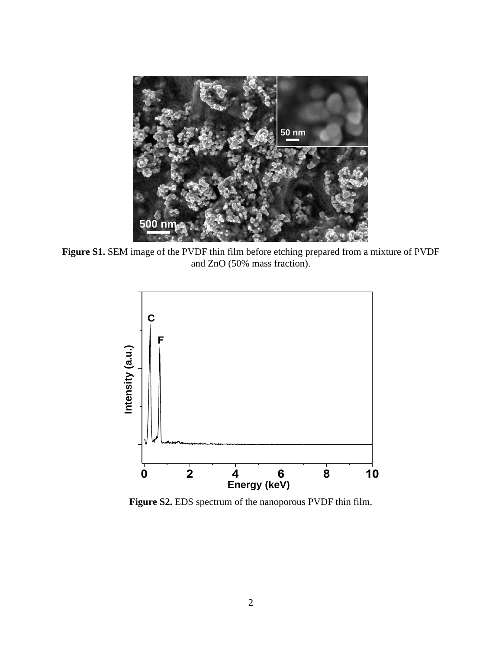

**Figure S1.** SEM image of the PVDF thin film before etching prepared from a mixture of PVDF and ZnO (50% mass fraction).



**Figure S2.** EDS spectrum of the nanoporous PVDF thin film.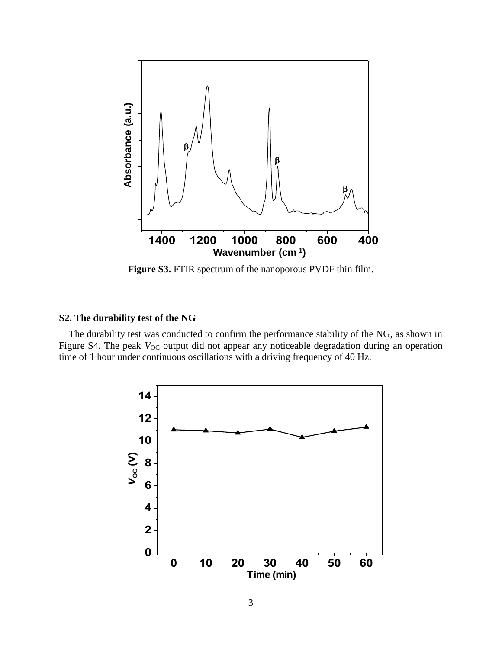

**Figure S3.** FTIR spectrum of the nanoporous PVDF thin film.

#### **S2. The durability test of the NG**

The durability test was conducted to confirm the performance stability of the NG, as shown in Figure S4. The peak  $V_{OC}$  output did not appear any noticeable degradation during an operation time of 1 hour under continuous oscillations with a driving frequency of 40 Hz.

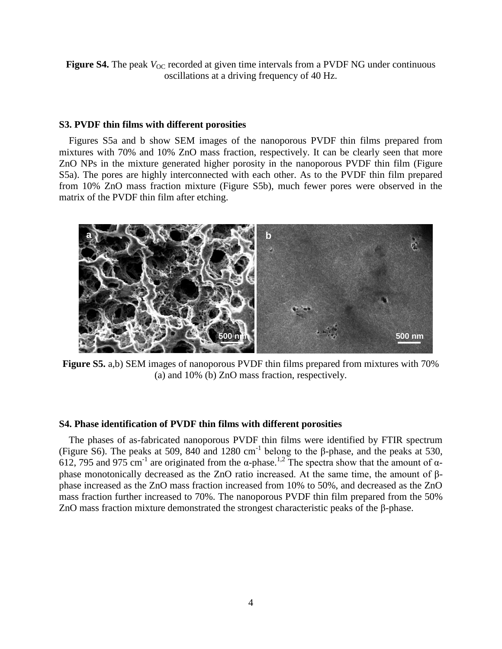**Figure S4.** The peak  $V_{\text{OC}}$  recorded at given time intervals from a PVDF NG under continuous oscillations at a driving frequency of 40 Hz.

#### **S3. PVDF thin films with different porosities**

Figures S5a and b show SEM images of the nanoporous PVDF thin films prepared from mixtures with 70% and 10% ZnO mass fraction, respectively. It can be clearly seen that more ZnO NPs in the mixture generated higher porosity in the nanoporous PVDF thin film (Figure S5a). The pores are highly interconnected with each other. As to the PVDF thin film prepared from 10% ZnO mass fraction mixture (Figure S5b), much fewer pores were observed in the matrix of the PVDF thin film after etching.



**Figure S5.** a,b) SEM images of nanoporous PVDF thin films prepared from mixtures with 70% (a) and 10% (b) ZnO mass fraction, respectively.

#### **S4. Phase identification of PVDF thin films with different porosities**

The phases of as-fabricated nanoporous PVDF thin films were identified by FTIR spectrum (Figure S6). The peaks at 509, 840 and 1280 cm<sup>-1</sup> belong to the  $\beta$ -phase, and the peaks at 530,  $612$ , 795 and 975 cm<sup>-1</sup> are originated from the α-phase.<sup>1,2</sup> The spectra show that the amount of αphase monotonically decreased as the ZnO ratio increased. At the same time, the amount of βphase increased as the ZnO mass fraction increased from 10% to 50%, and decreased as the ZnO mass fraction further increased to 70%. The nanoporous PVDF thin film prepared from the 50% ZnO mass fraction mixture demonstrated the strongest characteristic peaks of the β-phase.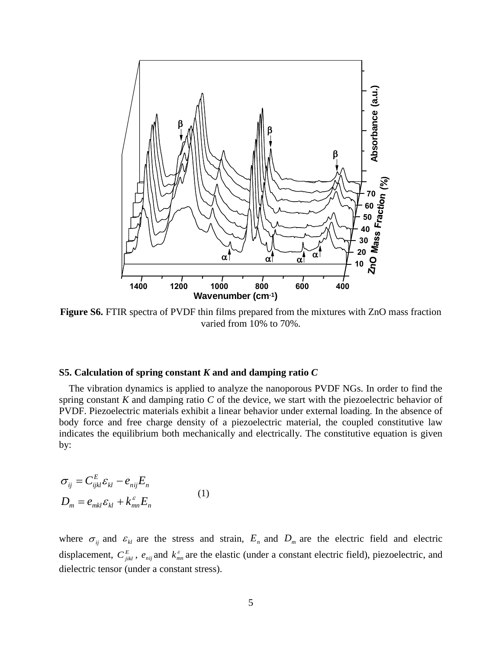

**Figure S6.** FTIR spectra of PVDF thin films prepared from the mixtures with ZnO mass fraction varied from 10% to 70%.

#### **S5. Calculation of spring constant** *K* **and and damping ratio** *C*

The vibration dynamics is applied to analyze the nanoporous PVDF NGs. In order to find the spring constant *K* and damping ratio *C* of the device, we start with the piezoelectric behavior of PVDF. Piezoelectric materials exhibit a linear behavior under external loading. In the absence of body force and free charge density of a piezoelectric material, the coupled constitutive law indicates the equilibrium both mechanically and electrically. The constitutive equation is given by:

$$
\sigma_{ij} = C_{ijkl}^E \varepsilon_{kl} - e_{nij} E_n
$$
  
\n
$$
D_m = e_{mkl} \varepsilon_{kl} + k_{mn}^{\varepsilon} E_n
$$
\n(1)

where  $\sigma_{ij}$  and  $\varepsilon_{kl}$  are the stress and strain,  $E_n$  and  $D_m$  are the electric field and electric displacement,  $C_{jik}^E$ ,  $e_{nij}$  and  $k_m^{\varepsilon}$  are the elastic (under a constant electric field), piezoelectric, and dielectric tensor (under a constant stress).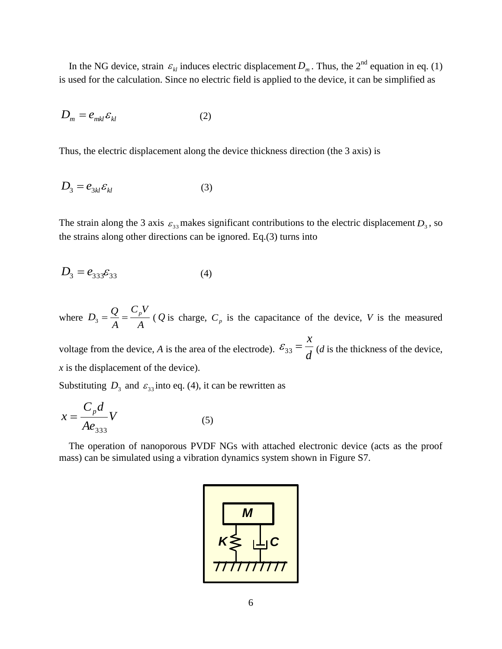In the NG device, strain  $\varepsilon_{kl}$  induces electric displacement  $D_m$ . Thus, the 2<sup>nd</sup> equation in eq. (1) is used for the calculation. Since no electric field is applied to the device, it can be simplified as

$$
D_m = e_{mkl} \varepsilon_{kl} \tag{2}
$$

Thus, the electric displacement along the device thickness direction (the 3 axis) is

$$
D_3 = e_{3kl} \varepsilon_{kl} \tag{3}
$$

The strain along the 3 axis  $\varepsilon_{33}$  makes significant contributions to the electric displacement  $D_3$ , so the strains along other directions can be ignored. Eq.(3) turns into

$$
D_3 = e_{333} \varepsilon_{33} \tag{4}
$$

where *A*  $C_pV$ *A*  $D_3 = \frac{Q}{4} = \frac{C_p V}{4}$  (*Q* is charge, *C<sub>p</sub>* is the capacitance of the device, *V* is the measured

voltage from the device, *A* is the area of the electrode).  $\epsilon_{33} = \frac{1}{d}$ *x*  $\mathcal{E}_{33} = \frac{\lambda}{I}$  (*d* is the thickness of the device, *x* is the displacement of the device).

Substituting  $D_3$  and  $\varepsilon_{33}$  into eq. (4), it can be rewritten as

$$
x = \frac{C_p d}{A e_{333}} V
$$
 (5)

The operation of nanoporous PVDF NGs with attached electronic device (acts as the proof mass) can be simulated using a vibration dynamics system shown in Figure S7.

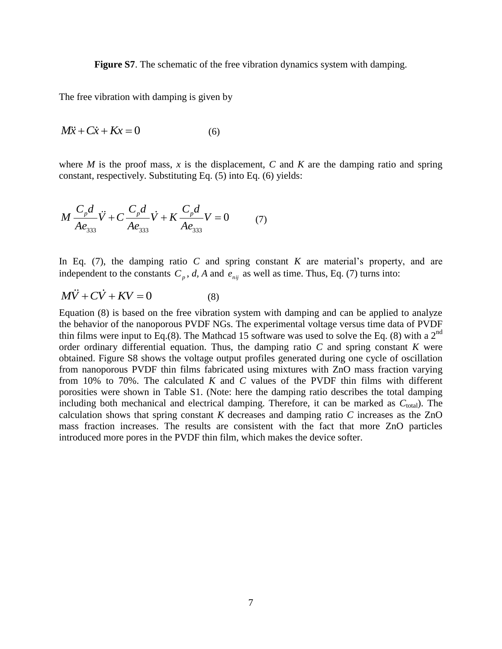**Figure S7**. The schematic of the free vibration dynamics system with damping.

The free vibration with damping is given by

$$
M\ddot{x} + C\dot{x} + Kx = 0 \tag{6}
$$

where  $M$  is the proof mass,  $x$  is the displacement,  $C$  and  $K$  are the damping ratio and spring constant, respectively. Substituting Eq. (5) into Eq. (6) yields:

$$
M \frac{C_p d}{A e_{333}} \ddot{V} + C \frac{C_p d}{A e_{333}} \dot{V} + K \frac{C_p d}{A e_{333}} V = 0 \tag{7}
$$

In Eq. (7), the damping ratio *C* and spring constant *K* are material's property, and are independent to the constants  $C_p$ , *d*, *A* and  $e_{nij}$  as well as time. Thus, Eq. (7) turns into:

$$
M\ddot{V} + C\dot{V} + KV = 0 \tag{8}
$$

Equation (8) is based on the free vibration system with damping and can be applied to analyze the behavior of the nanoporous PVDF NGs. The experimental voltage versus time data of PVDF thin films were input to Eq.(8). The Mathcad 15 software was used to solve the Eq. (8) with a  $2<sup>nd</sup>$ order ordinary differential equation. Thus, the damping ratio *C* and spring constant *K* were obtained. Figure S8 shows the voltage output profiles generated during one cycle of oscillation from nanoporous PVDF thin films fabricated using mixtures with ZnO mass fraction varying from 10% to 70%. The calculated *K* and *C* values of the PVDF thin films with different porosities were shown in Table S1. (Note: here the damping ratio describes the total damping including both mechanical and electrical damping. Therefore, it can be marked as  $C_{total}$ ). The calculation shows that spring constant *K* decreases and damping ratio *C* increases as the ZnO mass fraction increases. The results are consistent with the fact that more ZnO particles introduced more pores in the PVDF thin film, which makes the device softer.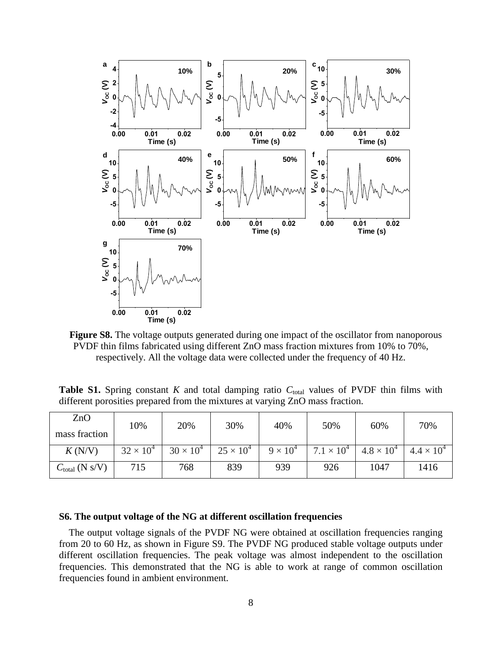

Figure S8. The voltage outputs generated during one impact of the oscillator from nanoporous PVDF thin films fabricated using different ZnO mass fraction mixtures from 10% to 70%, respectively. All the voltage data were collected under the frequency of 40 Hz.

**Table S1.** Spring constant *K* and total damping ratio  $C_{total}$  values of PVDF thin films with different porosities prepared from the mixtures at varying ZnO mass fraction.

| ZnO<br>mass fraction       | 10%                | 20%              | 30%                | 40%             | 50%                 | 60%                 | 70%                 |
|----------------------------|--------------------|------------------|--------------------|-----------------|---------------------|---------------------|---------------------|
| K(N/V)                     | $32 \times 10^{4}$ | $30 \times 10^4$ | $25 \times 10^{4}$ | $9 \times 10^4$ | $7.1 \times 10^{4}$ | $4.8 \times 10^{4}$ | $4.4 \times 10^{4}$ |
| $C_{\text{total}}$ (N s/V) | 715                | 768              | 839                | 939             | 926                 | 1047                | 1416                |

#### **S6. The output voltage of the NG at different oscillation frequencies**

The output voltage signals of the PVDF NG were obtained at oscillation frequencies ranging from 20 to 60 Hz, as shown in Figure S9. The PVDF NG produced stable voltage outputs under different oscillation frequencies. The peak voltage was almost independent to the oscillation frequencies. This demonstrated that the NG is able to work at range of common oscillation frequencies found in ambient environment.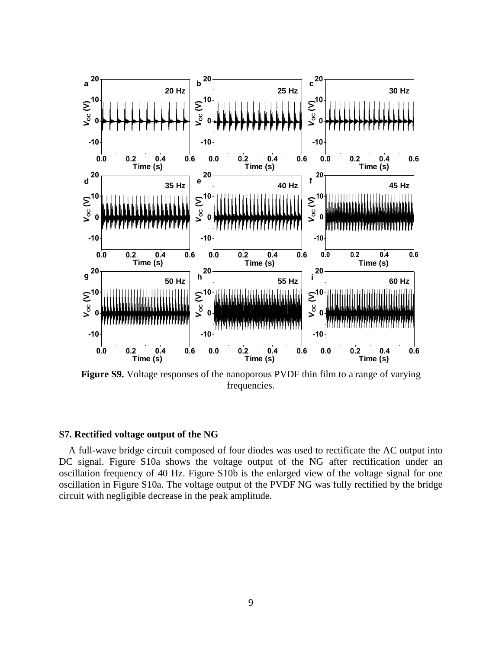

**Figure S9.** Voltage responses of the nanoporous PVDF thin film to a range of varying frequencies.

#### **S7. Rectified voltage output of the NG**

A full-wave bridge circuit composed of four diodes was used to rectificate the AC output into DC signal. Figure S10a shows the voltage output of the NG after rectification under an oscillation frequency of 40 Hz. Figure S10b is the enlarged view of the voltage signal for one oscillation in Figure S10a. The voltage output of the PVDF NG was fully rectified by the bridge circuit with negligible decrease in the peak amplitude.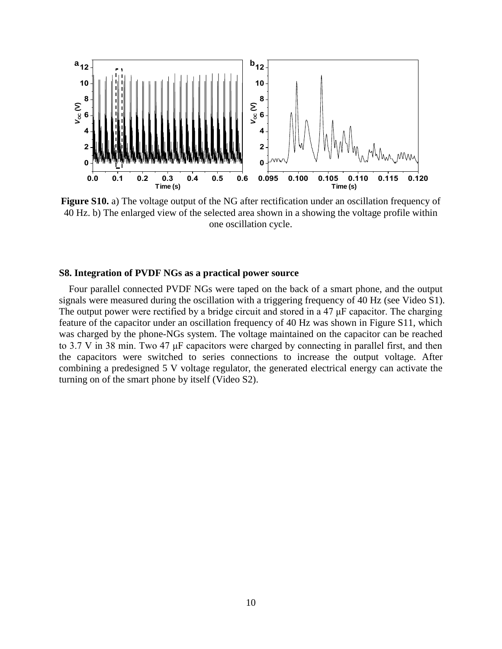

**Figure S10.** a) The voltage output of the NG after rectification under an oscillation frequency of 40 Hz. b) The enlarged view of the selected area shown in a showing the voltage profile within one oscillation cycle.

#### **S8. Integration of PVDF NGs as a practical power source**

Four parallel connected PVDF NGs were taped on the back of a smart phone, and the output signals were measured during the oscillation with a triggering frequency of 40 Hz (see Video S1). The output power were rectified by a bridge circuit and stored in a 47 μF capacitor. The charging feature of the capacitor under an oscillation frequency of 40 Hz was shown in Figure S11, which was charged by the phone-NGs system. The voltage maintained on the capacitor can be reached to 3.7 V in 38 min. Two 47 μF capacitors were charged by connecting in parallel first, and then the capacitors were switched to series connections to increase the output voltage. After combining a predesigned 5 V voltage regulator, the generated electrical energy can activate the turning on of the smart phone by itself (Video S2).